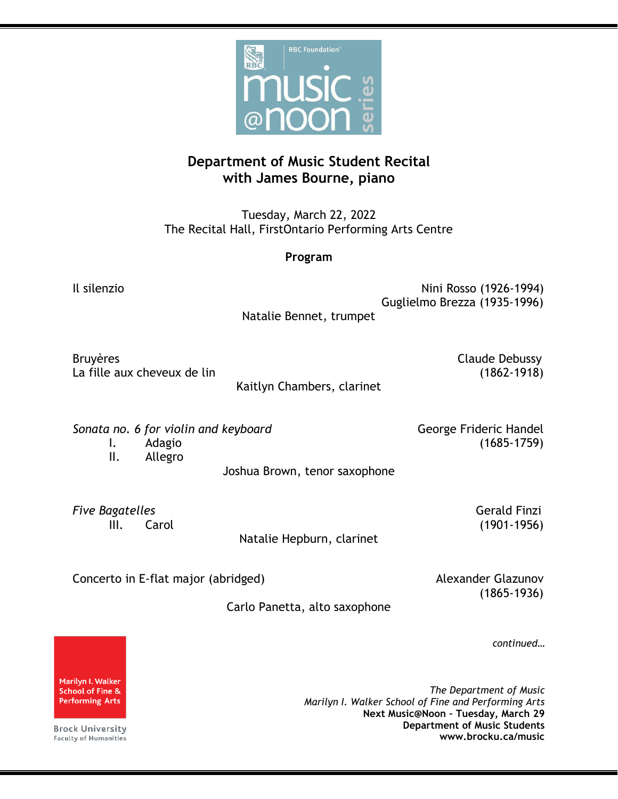

## **Department of Music Student Recital with James Bourne, piano**

Tuesday, March 22, 2022 The Recital Hall, FirstOntario Performing Arts Centre

**Program**

Il silenzio di Antonio di Antonio di Antonio di Antonio di Antonio di Antonio di Antonio di Antonio di Antonio<br>Nini Rosso (1926-1994) Guglielmo Brezza (1935-1996)

Natalie Bennet, trumpet

Bruyères **Claude Debussy** La fille aux cheveux de lin (1862-1918)

Kaitlyn Chambers, clarinet

Sonata no. 6 for violin and keyboard **George Frideric Handel** 

I. Adagio (1685-1759)

II. Allegro

Joshua Brown, tenor saxophone

*Five Bagatelles* Gerald Finzi

Natalie Hepburn, clarinet

III. Carol (1901-1956)

Concerto in E-flat major (abridged) and a series are all the Alexander Glazunov

(1865-1936)

Carlo Panetta, alto saxophone

*continued…*

*The Department of Music Marilyn I. Walker School of Fine and Performing Arts* **Next Music@Noon – Tuesday, March 29 Department of Music Students www.brocku.ca/music**

Marilyn I. Walker **School of Fine & Performing Arts** 

**Brock University Faculty of Humanities**